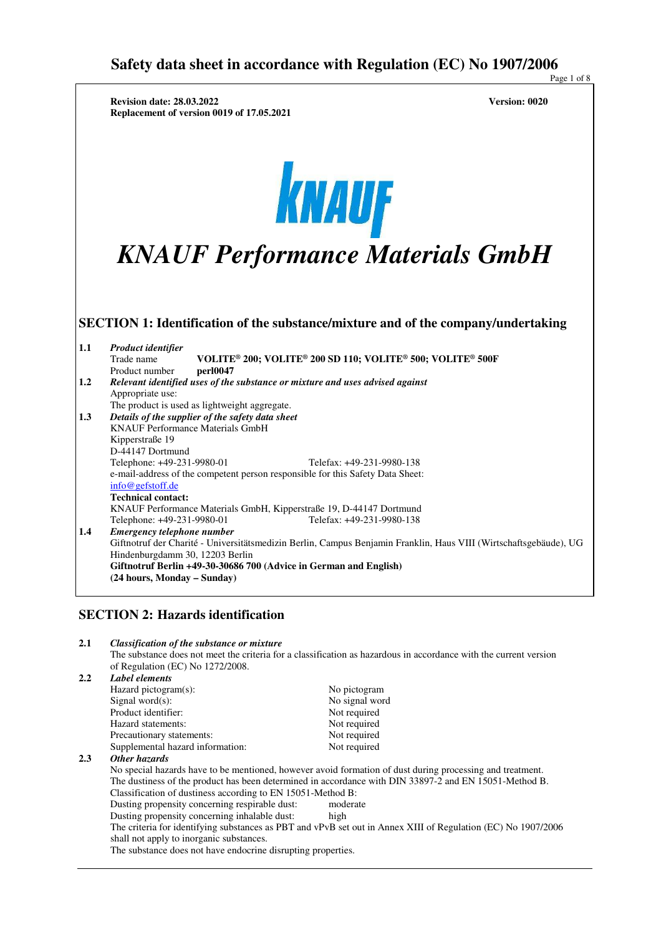Page 1 of 8  **Revision date: 28.03.2022 Version: 0020 Replacement of version 0019 of 17.05.2021**  KNAUF *KNAUF Performance Materials GmbH* **SECTION 1: Identification of the substance/mixture and of the company/undertaking 1.1** *Product identifier*  $\text{VOLITE}^{\circ}$  200;  $\text{VOLITE}^{\circ}$  200 SD 110;  $\text{VOLITE}^{\circ}$  500;  $\text{VOLITE}^{\circ}$  500F  $\text{perl}0047$ Product number **1.2** *Relevant identified uses of the substance or mixture and uses advised against* Appropriate use: The product is used as lightweight aggregate. **1.3** *Details of the supplier of the safety data sheet* KNAUF Performance Materials GmbH Kipperstraße 19 D-44147 Dortmund Telephone: +49-231-9980-01 Telefax: +49-231-9980-138 e-mail-address of the competent person responsible for this Safety Data Sheet: info@gefstoff.de **Technical contact:**  KNAUF Performance Materials GmbH, Kipperstraße 19, D-44147 Dortmund Telephone: +49-231-9980-01 Telefax: +49-231-9980-138 **1.4** *Emergency telephone number* Giftnotruf der Charité - Universitätsmedizin Berlin, Campus Benjamin Franklin, Haus VIII (Wirtschaftsgebäude), UG Hindenburgdamm 30, 12203 Berlin **Giftnotruf Berlin +49-30-30686 700 (Advice in German and English) (24 hours, Monday – Sunday) SECTION 2: Hazards identification 2.1** *Classification of the substance or mixture*  The substance does not meet the criteria for a classification as hazardous in accordance with the current version of Regulation (EC) No  $1272/2008$ .<br> **2.2.** *Label elements* **2.2** *Label elements* Hazard pictogram(s): No pictogram Signal word $(s)$ : No signal word Product identifier:<br>
Hazard statements:<br>
Not required Hazard statements: Not required<br>Precautionary statements: Not required Precautionary statements: Supplemental hazard information: Not required **2.3** *Other hazards* No special hazards have to be mentioned, however avoid formation of dust during processing and treatment. The dustiness of the product has been determined in accordance with DIN 33897-2 and EN 15051-Method B. Classification of dustiness according to EN 15051-Method B: Dusting propensity concerning respirable dust: moderate

Dusting propensity concerning inhalable dust: high The criteria for identifying substances as PBT and vPvB set out in Annex XIII of Regulation (EC) No 1907/2006 shall not apply to inorganic substances.

The substance does not have endocrine disrupting properties.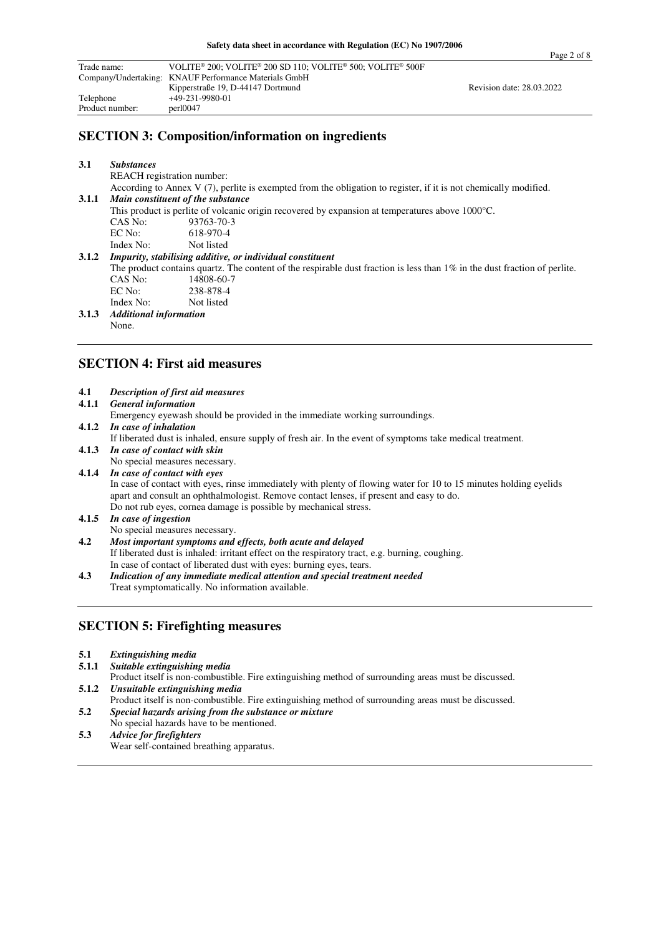| Trade name:     | VOLITE <sup>®</sup> 200; VOLITE <sup>®</sup> 200 SD 110; VOLITE <sup>®</sup> 500; VOLITE <sup>®</sup> 500F |                           |  |
|-----------------|------------------------------------------------------------------------------------------------------------|---------------------------|--|
|                 | Company/Undertaking: KNAUF Performance Materials GmbH                                                      |                           |  |
|                 | Kipperstraße 19, D-44147 Dortmund                                                                          | Revision date: 28.03.2022 |  |
| Telephone       | +49-231-9980-01                                                                                            |                           |  |
| Product number: | per10047                                                                                                   |                           |  |

## **SECTION 3: Composition/information on ingredients**

| 3.1   | <b>Substances</b>             |                                                                                                                              |
|-------|-------------------------------|------------------------------------------------------------------------------------------------------------------------------|
|       | REACH registration number:    |                                                                                                                              |
|       |                               | According to Annex V $(7)$ , perlite is exempted from the obligation to register, if it is not chemically modified.          |
| 3.1.1 |                               | Main constituent of the substance                                                                                            |
|       |                               | This product is perfite of volcanic origin recovered by expansion at temperatures above $1000^{\circ}$ C.                    |
|       | CAS No:                       | 93763-70-3                                                                                                                   |
|       | EC No:                        | 618-970-4                                                                                                                    |
|       | Index No:                     | Not listed                                                                                                                   |
| 3.1.2 |                               | Impurity, stabilising additive, or individual constituent                                                                    |
|       |                               | The product contains quartz. The content of the respirable dust fraction is less than $1\%$ in the dust fraction of perlite. |
|       | CAS No:                       | 14808-60-7                                                                                                                   |
|       | EC No:                        | 238-878-4                                                                                                                    |
|       | Index No:                     | Not listed                                                                                                                   |
| 3.1.3 | <b>Additional information</b> |                                                                                                                              |

None.

## **SECTION 4: First aid measures**

| 4.1   | <b>Description of first aid measures</b>                                                                          |
|-------|-------------------------------------------------------------------------------------------------------------------|
| 4.1.1 | <b>General information</b>                                                                                        |
|       | Emergency eyewash should be provided in the immediate working surroundings.                                       |
|       | 4.1.2 In case of inhalation                                                                                       |
|       | If liberated dust is inhaled, ensure supply of fresh air. In the event of symptoms take medical treatment.        |
|       | 4.1.3 In case of contact with skin                                                                                |
|       | No special measures necessary.                                                                                    |
|       | 4.1.4 In case of contact with eyes                                                                                |
|       | In case of contact with eyes, rinse immediately with plenty of flowing water for 10 to 15 minutes holding eyelids |
|       | apart and consult an ophthalmologist. Remove contact lenses, if present and easy to do.                           |
|       | Do not rub eyes, cornea damage is possible by mechanical stress.                                                  |
| 4.1.5 | In case of ingestion                                                                                              |
|       | No special measures necessary.                                                                                    |
| 4.2   | Most important symptoms and effects, both acute and delayed                                                       |
|       | If liberated dust is inhaled: irritant effect on the respiratory tract, e.g. burning, coughing.                   |
|       | In case of contact of liberated dust with eyes: burning eyes, tears.                                              |
| 4.3   | Indication of any immediate medical attention and special treatment needed                                        |
|       | Treat symptomatically. No information available.                                                                  |
|       |                                                                                                                   |

### **SECTION 5: Firefighting measures**

| 5.1 | <b>Extinguishing media</b> |  |
|-----|----------------------------|--|
|     |                            |  |

**5.1.1** *Suitable extinguishing media* 

```
 Product itself is non-combustible. Fire extinguishing method of surrounding areas must be discussed.
```
- **5.1.2** *Unsuitable extinguishing media*
- Product itself is non-combustible. Fire extinguishing method of surrounding areas must be discussed. **5.2** *Special hazards arising from the substance or mixture*
- No special hazards have to be mentioned.
- **5.3** *Advice for firefighters*  Wear self-contained breathing apparatus.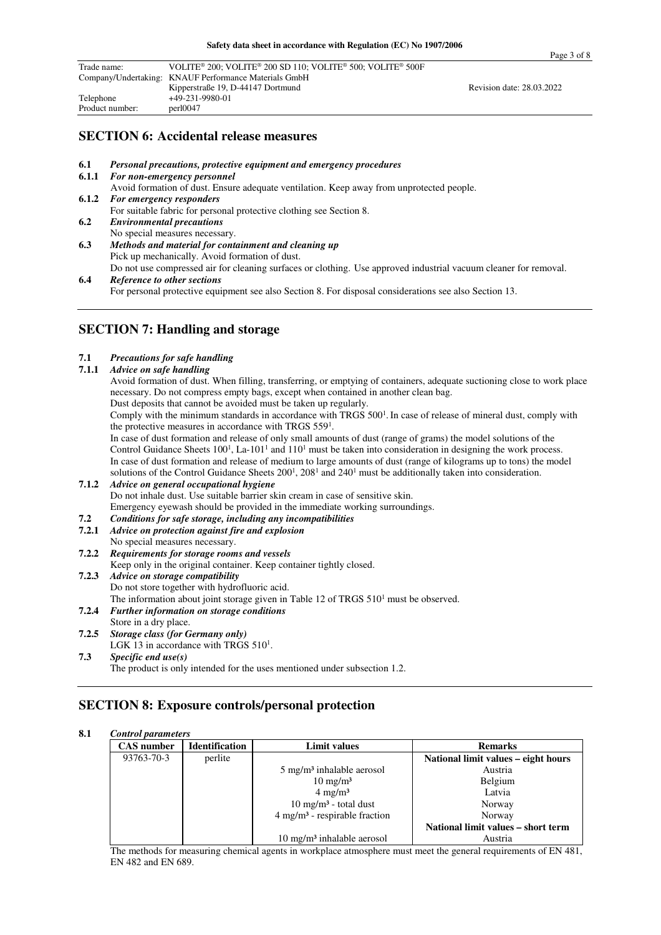| Trade name:     | VOLITE <sup>®</sup> 200; VOLITE <sup>®</sup> 200 SD 110; VOLITE <sup>®</sup> 500; VOLITE <sup>®</sup> 500F |                           |  |
|-----------------|------------------------------------------------------------------------------------------------------------|---------------------------|--|
|                 | Company/Undertaking: KNAUF Performance Materials GmbH                                                      |                           |  |
|                 | Kipperstraße 19, D-44147 Dortmund                                                                          | Revision date: 28.03.2022 |  |
| Telephone       | +49-231-9980-01                                                                                            |                           |  |
| Product number: | perl0047                                                                                                   |                           |  |

#### **SECTION 6: Accidental release measures**

- **6.1** *Personal precautions, protective equipment and emergency procedures*
- **6.1.1** *For non-emergency personnel*  Avoid formation of dust. Ensure adequate ventilation. Keep away from unprotected people. **6.1.2** *For emergency responders*  For suitable fabric for personal protective clothing see Section 8. **6.2** *Environmental precautions* No special measures necessary. **6.3** *Methods and material for containment and cleaning up*
- Pick up mechanically. Avoid formation of dust. Do not use compressed air for cleaning surfaces or clothing. Use approved industrial vacuum cleaner for removal. **6.4** *Reference to other sections*

For personal protective equipment see also Section 8. For disposal considerations see also Section 13.

#### **SECTION 7: Handling and storage**

#### **7.1** *Precautions for safe handling*

**7.1.1** *Advice on safe handling*

Avoid formation of dust. When filling, transferring, or emptying of containers, adequate suctioning close to work place necessary. Do not compress empty bags, except when contained in another clean bag.

Dust deposits that cannot be avoided must be taken up regularly.

Comply with the minimum standards in accordance with TRGS 500<sup>1</sup>. In case of release of mineral dust, comply with the protective measures in accordance with TRGS 559<sup>1</sup>.

 In case of dust formation and release of only small amounts of dust (range of grams) the model solutions of the Control Guidance Sheets  $100<sup>1</sup>$ , La- $101<sup>1</sup>$  and  $110<sup>1</sup>$  must be taken into consideration in designing the work process. In case of dust formation and release of medium to large amounts of dust (range of kilograms up to tons) the model solutions of the Control Guidance Sheets  $200<sup>1</sup>$ ,  $208<sup>1</sup>$  and  $240<sup>1</sup>$  must be additionally taken into consideration.

- **7.1.2** *Advice on general occupational hygiene* Do not inhale dust. Use suitable barrier skin cream in case of sensitive skin. Emergency eyewash should be provided in the immediate working surroundings.<br> **Example 1.2** Conditions for safe storage, including any incompatibilities
- **7.2** *Conditions for safe storage, including any incompatibilities*
- **7.2.1** *Advice on protection against fire and explosion*
- No special measures necessary.
- **7.2.2** *Requirements for storage rooms and vessels*

Keep only in the original container. Keep container tightly closed.

- **7.2.3** *Advice on storage compatibility* Do not store together with hydrofluoric acid. The information about joint storage given in Table 12 of TRGS  $510<sup>1</sup>$  must be observed. **7.2.4** *Further information on storage conditions* Store in a dry place.
- **7.2.5** *Storage class (for Germany only)*
- LGK 13 in accordance with TRGS  $510<sup>1</sup>$ .
- **7.3** *Specific end use(s)*  The product is only intended for the uses mentioned under subsection 1.2.

### **SECTION 8: Exposure controls/personal protection**

#### **8.1** *Control parameters*

| <b>CAS</b> number | <b>Identification</b> | <b>Limit values</b>                         | <b>Remarks</b>                      |
|-------------------|-----------------------|---------------------------------------------|-------------------------------------|
| 93763-70-3        | perlite               |                                             | National limit values - eight hours |
|                   |                       | $5 \text{ mg/m}^3$ inhalable aerosol        | Austria                             |
|                   |                       | $10 \text{ mg/m}^3$                         | Belgium                             |
|                   |                       | $4 \text{ mg/m}^3$                          | Latvia                              |
|                   |                       | $10 \text{ mg/m}^3$ - total dust            | Norway                              |
|                   |                       | $4$ mg/m <sup>3</sup> - respirable fraction | Norway                              |
|                   |                       |                                             | National limit values – short term  |
|                   |                       | $10 \text{ mg/m}^3$ inhalable aerosol       | Austria                             |

The methods for measuring chemical agents in workplace atmosphere must meet the general requirements of EN 481, EN 482 and EN 689.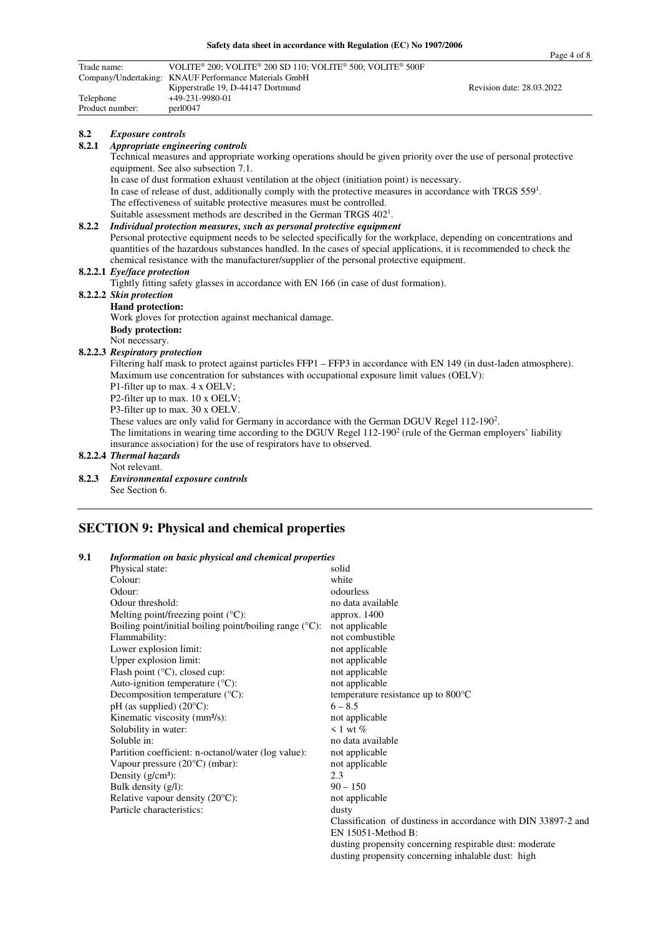|             |                                | Safety data sheet in accordance with Regulation (EC) No 1907/2000                                                                                         | Page 4 of 8               |  |  |
|-------------|--------------------------------|-----------------------------------------------------------------------------------------------------------------------------------------------------------|---------------------------|--|--|
| Trade name: |                                | VOLITE® 200; VOLITE® 200 SD 110; VOLITE® 500; VOLITE® 500F                                                                                                |                           |  |  |
|             |                                | Company/Undertaking: KNAUF Performance Materials GmbH                                                                                                     |                           |  |  |
|             |                                | Kipperstraße 19, D-44147 Dortmund                                                                                                                         | Revision date: 28.03.2022 |  |  |
| Telephone   |                                | +49-231-9980-01                                                                                                                                           |                           |  |  |
|             | Product number:                | perl0047                                                                                                                                                  |                           |  |  |
| 8.2         | <b>Exposure controls</b>       |                                                                                                                                                           |                           |  |  |
| 8.2.1       |                                | Appropriate engineering controls                                                                                                                          |                           |  |  |
|             |                                | Technical measures and appropriate working operations should be given priority over the use of personal protective<br>equipment. See also subsection 7.1. |                           |  |  |
|             |                                | In case of dust formation exhaust ventilation at the object (initiation point) is necessary.                                                              |                           |  |  |
|             |                                | In case of release of dust, additionally comply with the protective measures in accordance with TRGS $5591$ .                                             |                           |  |  |
|             |                                | The effectiveness of suitable protective measures must be controlled.                                                                                     |                           |  |  |
|             |                                | Suitable assessment methods are described in the German TRGS 402 <sup>1</sup> .                                                                           |                           |  |  |
| 8.2.2       |                                | Individual protection measures, such as personal protective equipment                                                                                     |                           |  |  |
|             |                                | Personal protective equipment needs to be selected specifically for the workplace, depending on concentrations and                                        |                           |  |  |
|             |                                | quantities of the hazardous substances handled. In the cases of special applications, it is recommended to check the                                      |                           |  |  |
|             |                                | chemical resistance with the manufacturer/supplier of the personal protective equipment.                                                                  |                           |  |  |
|             | 8.2.2.1 Eye/face protection    |                                                                                                                                                           |                           |  |  |
|             |                                | Tightly fitting safety glasses in accordance with EN 166 (in case of dust formation).                                                                     |                           |  |  |
|             | 8.2.2.2 Skin protection        |                                                                                                                                                           |                           |  |  |
|             | <b>Hand protection:</b>        |                                                                                                                                                           |                           |  |  |
|             |                                | Work gloves for protection against mechanical damage.                                                                                                     |                           |  |  |
|             | <b>Body protection:</b>        |                                                                                                                                                           |                           |  |  |
|             | Not necessary.                 |                                                                                                                                                           |                           |  |  |
|             | 8.2.2.3 Respiratory protection |                                                                                                                                                           |                           |  |  |
|             |                                | Filtering half mask to protect against particles FFP1 – FFP3 in accordance with EN 149 (in dust-laden atmosphere).                                        |                           |  |  |
|             |                                | Maximum use concentration for substances with occupational exposure limit values (OELV):                                                                  |                           |  |  |
|             |                                | P1-filter up to max. 4 x OELV;                                                                                                                            |                           |  |  |
|             |                                | P2-filter up to max. 10 x OELV;                                                                                                                           |                           |  |  |
|             |                                | P3-filter up to max. 30 x OELV.                                                                                                                           |                           |  |  |
|             |                                | These values are only valid for Germany in accordance with the German DGUV Regel $112-1902$ .                                                             |                           |  |  |
|             |                                | The limitations in wearing time according to the DGUV Regel $112-1902$ (rule of the German employers' liability                                           |                           |  |  |
|             |                                | insurance association) for the use of respirators have to observed.                                                                                       |                           |  |  |
|             | 8.2.2.4 Thermal hazards        |                                                                                                                                                           |                           |  |  |
|             | Not relevant.                  |                                                                                                                                                           |                           |  |  |
| 8.2.3       |                                | Environmental exposure controls                                                                                                                           |                           |  |  |

8.2.3 *Environmental exp* See Section 6.

## **SECTION 9: Physical and chemical properties**

| 9.1 | Information on basic physical and chemical properties               |                                                                |  |  |
|-----|---------------------------------------------------------------------|----------------------------------------------------------------|--|--|
|     | Physical state:                                                     | solid                                                          |  |  |
|     | Colour:                                                             | white                                                          |  |  |
|     | Odour:                                                              | odourless                                                      |  |  |
|     | Odour threshold:                                                    | no data available                                              |  |  |
|     | Melting point/freezing point $({}^{\circ}C)$ :                      | approx. 1400                                                   |  |  |
|     | Boiling point/initial boiling point/boiling range $({}^{\circ}C)$ : | not applicable                                                 |  |  |
|     | Flammability:                                                       | not combustible                                                |  |  |
|     | Lower explosion limit:                                              | not applicable                                                 |  |  |
|     | Upper explosion limit:                                              | not applicable                                                 |  |  |
|     | Flash point $(^{\circ}C)$ , closed cup:                             | not applicable                                                 |  |  |
|     | Auto-ignition temperature $(^{\circ}C)$ :                           | not applicable                                                 |  |  |
|     | Decomposition temperature $(^{\circ}C)$ :                           | temperature resistance up to $800^{\circ}$ C                   |  |  |
|     | $pH$ (as supplied) (20 $^{\circ}C$ ):                               | $6 - 8.5$                                                      |  |  |
|     | Kinematic viscosity (mm <sup>2</sup> /s):                           | not applicable                                                 |  |  |
|     | Solubility in water:                                                | $\leq 1$ wt $\%$                                               |  |  |
|     | Soluble in:                                                         | no data available                                              |  |  |
|     | Partition coefficient: n-octanol/water (log value):                 | not applicable                                                 |  |  |
|     | Vapour pressure $(20^{\circ}C)$ (mbar):                             | not applicable                                                 |  |  |
|     | Density $(g/cm3)$ :                                                 | 2.3                                                            |  |  |
|     | Bulk density $(g/l)$ :                                              | $90 - 150$                                                     |  |  |
|     | Relative vapour density $(20^{\circ}C)$ :                           | not applicable                                                 |  |  |
|     | Particle characteristics:                                           | dusty                                                          |  |  |
|     |                                                                     | Classification of dustiness in accordance with DIN 33897-2 and |  |  |
|     |                                                                     | EN 15051-Method B:                                             |  |  |
|     |                                                                     | dusting propensity concerning respirable dust: moderate        |  |  |

dusting propensity concerning inhalable dust: high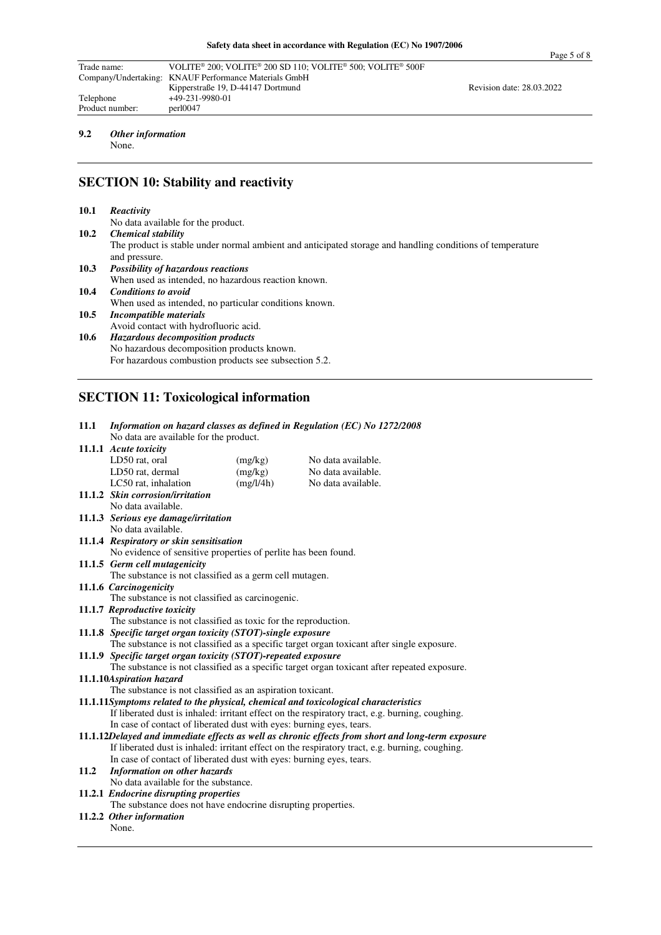| Trade name:     | VOLITE <sup>®</sup> 200: VOLITE <sup>®</sup> 200 SD 110: VOLITE <sup>®</sup> 500: VOLITE <sup>®</sup> 500F |                           |  |
|-----------------|------------------------------------------------------------------------------------------------------------|---------------------------|--|
|                 | Company/Undertaking: KNAUF Performance Materials GmbH                                                      |                           |  |
|                 | Kipperstraße 19, D-44147 Dortmund                                                                          | Revision date: 28.03.2022 |  |
| Telephone       | $+49-231-9980-01$                                                                                          |                           |  |
| Product number: | per10047                                                                                                   |                           |  |

## **9.2** *Other information*

None.

# **SECTION 10: Stability and reactivity**

| 10.1 | Reactivity                                                                                                |
|------|-----------------------------------------------------------------------------------------------------------|
|      | No data available for the product.                                                                        |
| 10.2 | <b>Chemical stability</b>                                                                                 |
|      | The product is stable under normal ambient and anticipated storage and handling conditions of temperature |
|      | and pressure.                                                                                             |
| 10.3 | <b>Possibility of hazardous reactions</b>                                                                 |
|      | When used as intended, no hazardous reaction known.                                                       |
| 10.4 | <b>Conditions to avoid</b>                                                                                |
|      | When used as intended, no particular conditions known.                                                    |
| 10.5 | Incompatible materials                                                                                    |
|      | Avoid contact with hydrofluoric acid.                                                                     |
| 10.6 | <b>Hazardous decomposition products</b>                                                                   |
|      | No hazardous decomposition products known.                                                                |
|      | For hazardous combustion products see subsection 5.2.                                                     |
|      |                                                                                                           |

# **SECTION 11: Toxicological information**

| 11.1 | Information on hazard classes as defined in Regulation (EC) No 1272/2008            |           |                                                                                                   |  |
|------|-------------------------------------------------------------------------------------|-----------|---------------------------------------------------------------------------------------------------|--|
|      | No data are available for the product.                                              |           |                                                                                                   |  |
|      | 11.1.1 Acute toxicity                                                               |           |                                                                                                   |  |
|      | LD50 rat, oral                                                                      | (mg/kg)   | No data available.                                                                                |  |
|      | LD50 rat, dermal                                                                    | (mg/kg)   | No data available.                                                                                |  |
|      | LC50 rat, inhalation                                                                | (mg/l/4h) | No data available.                                                                                |  |
|      | 11.1.2 Skin corrosion/irritation                                                    |           |                                                                                                   |  |
|      | No data available.                                                                  |           |                                                                                                   |  |
|      | 11.1.3 Serious eve damage/irritation                                                |           |                                                                                                   |  |
|      | No data available.                                                                  |           |                                                                                                   |  |
|      | 11.1.4 Respiratory or skin sensitisation                                            |           |                                                                                                   |  |
|      | No evidence of sensitive properties of perlite has been found.                      |           |                                                                                                   |  |
|      | 11.1.5 Germ cell mutagenicity                                                       |           |                                                                                                   |  |
|      | The substance is not classified as a germ cell mutagen.                             |           |                                                                                                   |  |
|      | 11.1.6 Carcinogenicity                                                              |           |                                                                                                   |  |
|      | The substance is not classified as carcinogenic.                                    |           |                                                                                                   |  |
|      | 11.1.7 Reproductive toxicity                                                        |           |                                                                                                   |  |
|      | The substance is not classified as toxic for the reproduction.                      |           |                                                                                                   |  |
|      | 11.1.8 Specific target organ toxicity (STOT)-single exposure                        |           |                                                                                                   |  |
|      |                                                                                     |           | The substance is not classified as a specific target organ toxicant after single exposure.        |  |
|      | 11.1.9 Specific target organ toxicity (STOT)-repeated exposure                      |           |                                                                                                   |  |
|      |                                                                                     |           | The substance is not classified as a specific target organ toxicant after repeated exposure.      |  |
|      | 11.1.10Aspiration hazard                                                            |           |                                                                                                   |  |
|      | The substance is not classified as an aspiration toxicant.                          |           |                                                                                                   |  |
|      | 11.1.11Symptoms related to the physical, chemical and toxicological characteristics |           |                                                                                                   |  |
|      |                                                                                     |           | If liberated dust is inhaled: irritant effect on the respiratory tract, e.g. burning, coughing.   |  |
|      | In case of contact of liberated dust with eyes: burning eyes, tears.                |           | 11.1.12Delayed and immediate effects as well as chronic effects from short and long-term exposure |  |
|      |                                                                                     |           | If liberated dust is inhaled: irritant effect on the respiratory tract, e.g. burning, coughing.   |  |
|      | In case of contact of liberated dust with eyes: burning eyes, tears.                |           |                                                                                                   |  |
| 11.2 | Information on other hazards                                                        |           |                                                                                                   |  |
|      | No data available for the substance.                                                |           |                                                                                                   |  |
|      | 11.2.1 Endocrine disrupting properties                                              |           |                                                                                                   |  |
|      | The substance does not have endocrine disrupting properties.                        |           |                                                                                                   |  |
|      | 11.2.2 Other information                                                            |           |                                                                                                   |  |
|      | None.                                                                               |           |                                                                                                   |  |
|      |                                                                                     |           |                                                                                                   |  |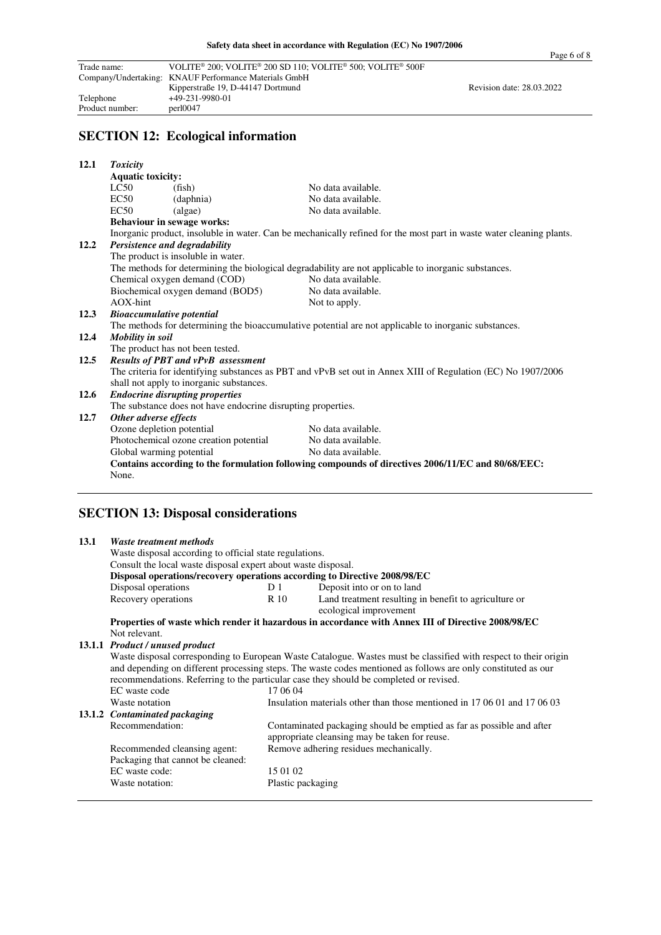|             |                                  |                                                              |                                                                                                                      | Page o o                  |
|-------------|----------------------------------|--------------------------------------------------------------|----------------------------------------------------------------------------------------------------------------------|---------------------------|
| Trade name: |                                  |                                                              | VOLITE® 200; VOLITE® 200 SD 110; VOLITE® 500; VOLITE® 500F                                                           |                           |
|             |                                  | Company/Undertaking: KNAUF Performance Materials GmbH        |                                                                                                                      |                           |
|             |                                  | Kipperstraße 19, D-44147 Dortmund                            |                                                                                                                      | Revision date: 28.03.2022 |
| Telephone   |                                  | +49-231-9980-01                                              |                                                                                                                      |                           |
|             | Product number:                  | perl0047                                                     |                                                                                                                      |                           |
|             |                                  | <b>SECTION 12: Ecological information</b>                    |                                                                                                                      |                           |
|             |                                  |                                                              |                                                                                                                      |                           |
| 12.1        | <b>Toxicity</b>                  |                                                              |                                                                                                                      |                           |
|             | <b>Aquatic toxicity:</b>         |                                                              |                                                                                                                      |                           |
|             | LC50                             | (fish)                                                       | No data available.                                                                                                   |                           |
|             | EC50                             | (daphnia)                                                    | No data available.                                                                                                   |                           |
|             | EC50                             | (algae)                                                      | No data available.                                                                                                   |                           |
|             |                                  | <b>Behaviour in sewage works:</b>                            |                                                                                                                      |                           |
|             |                                  |                                                              | Inorganic product, insoluble in water. Can be mechanically refined for the most part in waste water cleaning plants. |                           |
| 12.2        |                                  | Persistence and degradability                                |                                                                                                                      |                           |
|             |                                  | The product is insoluble in water.                           |                                                                                                                      |                           |
|             |                                  |                                                              | The methods for determining the biological degradability are not applicable to inorganic substances.                 |                           |
|             |                                  | Chemical oxygen demand (COD)                                 | No data available.                                                                                                   |                           |
|             |                                  | Biochemical oxygen demand (BOD5)                             | No data available.                                                                                                   |                           |
|             | AOX-hint                         |                                                              | Not to apply.                                                                                                        |                           |
| 12.3        | <b>Bioaccumulative potential</b> |                                                              |                                                                                                                      |                           |
|             |                                  |                                                              | The methods for determining the bioaccumulative potential are not applicable to inorganic substances.                |                           |
| 12.4        | Mobility in soil                 |                                                              |                                                                                                                      |                           |
|             |                                  | The product has not been tested.                             |                                                                                                                      |                           |
| 12.5        |                                  | <b>Results of PBT and vPvB assessment</b>                    |                                                                                                                      |                           |
|             |                                  |                                                              | The criteria for identifying substances as PBT and vPvB set out in Annex XIII of Regulation (EC) No 1907/2006        |                           |
|             |                                  | shall not apply to inorganic substances.                     |                                                                                                                      |                           |
| 12.6        |                                  | <b>Endocrine disrupting properties</b>                       |                                                                                                                      |                           |
|             |                                  | The substance does not have endocrine disrupting properties. |                                                                                                                      |                           |
| 12.7        | Other adverse effects            |                                                              |                                                                                                                      |                           |
|             | Ozone depletion potential        |                                                              | No data available.                                                                                                   |                           |
|             |                                  | Photochemical ozone creation potential                       | No data available.                                                                                                   |                           |
|             | Global warming potential         |                                                              | No data available.                                                                                                   |                           |
|             |                                  |                                                              | Contains according to the formulation following compounds of directives 2006/11/EC and 80/68/EEC:                    |                           |
|             | None.                            |                                                              |                                                                                                                      |                           |
|             |                                  |                                                              |                                                                                                                      |                           |

# **SECTION 13: Disposal considerations**

| 13.1 | Waste treatment methods                                                                                          |                                                                                         |                                                                          |  |  |
|------|------------------------------------------------------------------------------------------------------------------|-----------------------------------------------------------------------------------------|--------------------------------------------------------------------------|--|--|
|      | Waste disposal according to official state regulations.                                                          |                                                                                         |                                                                          |  |  |
|      | Consult the local waste disposal expert about waste disposal.                                                    |                                                                                         |                                                                          |  |  |
|      | Disposal operations/recovery operations according to Directive 2008/98/EC                                        |                                                                                         |                                                                          |  |  |
|      | Disposal operations                                                                                              | D 1                                                                                     | Deposit into or on to land                                               |  |  |
|      | Recovery operations                                                                                              | R 10                                                                                    | Land treatment resulting in benefit to agriculture or                    |  |  |
|      |                                                                                                                  |                                                                                         | ecological improvement                                                   |  |  |
|      | Properties of waste which render it hazardous in accordance with Annex III of Directive 2008/98/EC               |                                                                                         |                                                                          |  |  |
|      | Not relevant.                                                                                                    |                                                                                         |                                                                          |  |  |
|      | 13.1.1 Product / unused product                                                                                  |                                                                                         |                                                                          |  |  |
|      | Waste disposal corresponding to European Waste Catalogue. Wastes must be classified with respect to their origin |                                                                                         |                                                                          |  |  |
|      | and depending on different processing steps. The waste codes mentioned as follows are only constituted as our    |                                                                                         |                                                                          |  |  |
|      | recommendations. Referring to the particular case they should be completed or revised.                           |                                                                                         |                                                                          |  |  |
|      | EC waste code                                                                                                    | 17 06 04                                                                                |                                                                          |  |  |
|      | Waste notation                                                                                                   |                                                                                         | Insulation materials other than those mentioned in 17 06 01 and 17 06 03 |  |  |
|      | 13.1.2 Contaminated packaging                                                                                    |                                                                                         |                                                                          |  |  |
|      | Recommendation:                                                                                                  |                                                                                         | Contaminated packaging should be emptied as far as possible and after    |  |  |
|      |                                                                                                                  | appropriate cleansing may be taken for reuse.<br>Remove adhering residues mechanically. |                                                                          |  |  |
|      | Recommended cleansing agent:                                                                                     |                                                                                         |                                                                          |  |  |
|      | Packaging that cannot be cleaned:                                                                                |                                                                                         |                                                                          |  |  |
|      | EC waste code:                                                                                                   | 15 01 02                                                                                |                                                                          |  |  |
|      | Waste notation:                                                                                                  | Plastic packaging                                                                       |                                                                          |  |  |
|      |                                                                                                                  |                                                                                         |                                                                          |  |  |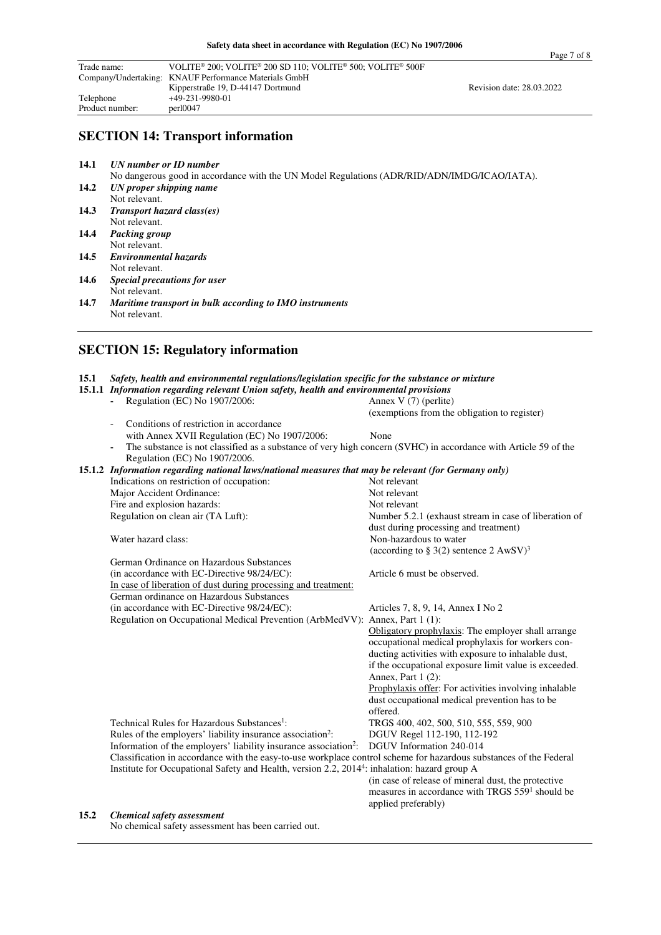| Trade name:                                           | VOLITE <sup>®</sup> 200; VOLITE <sup>®</sup> 200 SD 110; VOLITE <sup>®</sup> 500; VOLITE <sup>®</sup> 500F |                           |
|-------------------------------------------------------|------------------------------------------------------------------------------------------------------------|---------------------------|
| Company/Undertaking: KNAUF Performance Materials GmbH |                                                                                                            |                           |
|                                                       | Kipperstraße 19, D-44147 Dortmund                                                                          | Revision date: 28.03.2022 |
| Telephone                                             | +49-231-9980-01                                                                                            |                           |
| Product number:                                       | per10047                                                                                                   |                           |

#### **SECTION 14: Transport information**

**14.1** *UN number or ID number* 

No dangerous good in accordance with the UN Model Regulations (ADR/RID/ADN/IMDG/ICAO/IATA).<br>14.2 *UN proper shipping name* **14.2** *UN proper shipping name* 

- Not relevant. **14.3** *Transport hazard class(es)*
- Not relevant. **14.4** *Packing group*
- Not relevant.<br>14.5 Environment
- **14.5** *Environmental hazards*  Not relevant.
- **14.6** *Special precautions for user*  Not relevant.
- **14.7** *Maritime transport in bulk according to IMO instruments*  Not relevant.

|      | <b>SECTION 15: Regulatory information</b>                                                                                                        |                                                                                                         |  |  |  |
|------|--------------------------------------------------------------------------------------------------------------------------------------------------|---------------------------------------------------------------------------------------------------------|--|--|--|
| 15.1 | Safety, health and environmental regulations/legislation specific for the substance or mixture                                                   |                                                                                                         |  |  |  |
|      | 15.1.1 Information regarding relevant Union safety, health and environmental provisions                                                          |                                                                                                         |  |  |  |
|      | Regulation (EC) No 1907/2006:                                                                                                                    | Annex $V(7)$ (perlite)                                                                                  |  |  |  |
|      |                                                                                                                                                  | (exemptions from the obligation to register)                                                            |  |  |  |
|      | Conditions of restriction in accordance                                                                                                          |                                                                                                         |  |  |  |
|      | with Annex XVII Regulation (EC) No 1907/2006:                                                                                                    | None                                                                                                    |  |  |  |
|      | The substance is not classified as a substance of very high concern (SVHC) in accordance with Article 59 of the<br>Regulation (EC) No 1907/2006. |                                                                                                         |  |  |  |
|      | 15.1.2 Information regarding national laws/national measures that may be relevant (for Germany only)                                             |                                                                                                         |  |  |  |
|      | Indications on restriction of occupation:                                                                                                        | Not relevant                                                                                            |  |  |  |
|      | Major Accident Ordinance:                                                                                                                        | Not relevant                                                                                            |  |  |  |
|      | Fire and explosion hazards:                                                                                                                      | Not relevant                                                                                            |  |  |  |
|      | Regulation on clean air (TA Luft):                                                                                                               | Number 5.2.1 (exhaust stream in case of liberation of<br>dust during processing and treatment)          |  |  |  |
|      | Water hazard class:                                                                                                                              | Non-hazardous to water                                                                                  |  |  |  |
|      |                                                                                                                                                  | (according to § 3(2) sentence 2 $A w S V$ ) <sup>3</sup>                                                |  |  |  |
|      | German Ordinance on Hazardous Substances                                                                                                         |                                                                                                         |  |  |  |
|      | (in accordance with EC-Directive 98/24/EC):                                                                                                      | Article 6 must be observed.                                                                             |  |  |  |
|      | In case of liberation of dust during processing and treatment:                                                                                   |                                                                                                         |  |  |  |
|      | German ordinance on Hazardous Substances                                                                                                         |                                                                                                         |  |  |  |
|      | (in accordance with EC-Directive 98/24/EC):                                                                                                      | Articles 7, 8, 9, 14, Annex I No 2                                                                      |  |  |  |
|      | Regulation on Occupational Medical Prevention (ArbMedVV):                                                                                        | Annex, Part $1(1)$ :                                                                                    |  |  |  |
|      |                                                                                                                                                  | Obligatory prophylaxis: The employer shall arrange<br>occupational medical prophylaxis for workers con- |  |  |  |
|      |                                                                                                                                                  | ducting activities with exposure to inhalable dust,                                                     |  |  |  |
|      |                                                                                                                                                  | if the occupational exposure limit value is exceeded.                                                   |  |  |  |
|      |                                                                                                                                                  | Annex, Part 1 (2):                                                                                      |  |  |  |
|      |                                                                                                                                                  | Prophylaxis offer: For activities involving inhalable                                                   |  |  |  |
|      |                                                                                                                                                  | dust occupational medical prevention has to be                                                          |  |  |  |
|      |                                                                                                                                                  | offered.                                                                                                |  |  |  |

offered. Technical Rules for Hazardous Substances<sup>1</sup>: : TRGS 400, 402, 500, 510, 555, 559, 900 Rules of the employers' liability insurance association<sup>2</sup>: : DGUV Regel 112-190, 112-192 Information of the employers' liability insurance association<sup>2</sup>: : DGUV Information 240-014 Classification in accordance with the easy-to-use workplace control scheme for hazardous substances of the Federal Institute for Occupational Safety and Health, version 2.2, 2014<sup>4</sup> : inhalation: hazard group A

 (in case of release of mineral dust, the protective measures in accordance with TRGS 559<sup>1</sup> should be applied preferably)

#### **15.2** *Chemical safety assessment*

No chemical safety assessment has been carried out.